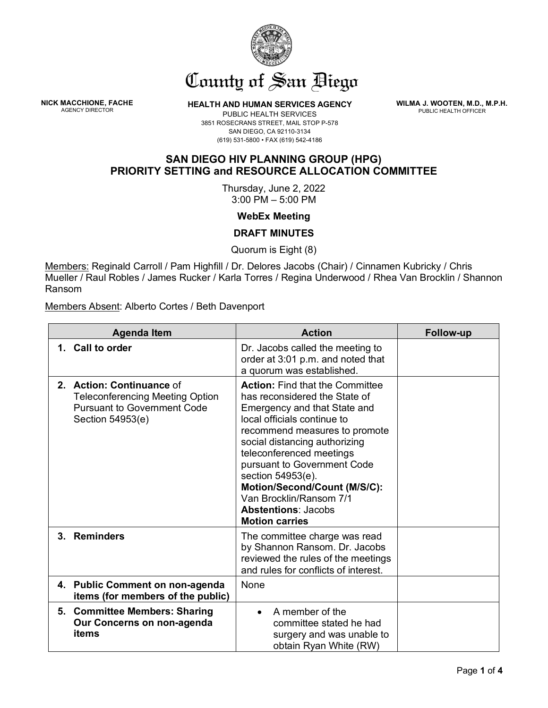

## County of San Biego

**NICK MACCHIONE, FACHE** 

**HEALTH AND HUMAN SERVICES AGENCY** 

**WILMA J. WOOTEN, M.D., M.P.H.** PUBLIC HEALTH OFFICER

PUBLIC HEALTH SERVICES 3851 ROSECRANS STREET, MAIL STOP P-578 SAN DIEGO, CA 92110-3134 (619) 531-5800 • FAX (619) 542-4186

## **SAN DIEGO HIV PLANNING GROUP (HPG) PRIORITY SETTING and RESOURCE ALLOCATION COMMITTEE**

Thursday, June 2, 2022 3:00 PM – 5:00 PM

**WebEx Meeting**

**DRAFT MINUTES**

Quorum is Eight (8)

Members: Reginald Carroll / Pam Highfill / Dr. Delores Jacobs (Chair) / Cinnamen Kubricky / Chris Mueller / Raul Robles / James Rucker / Karla Torres / Regina Underwood / Rhea Van Brocklin / Shannon Ransom

Members Absent: Alberto Cortes / Beth Davenport

| <b>Agenda Item</b>                                                                                                            | <b>Action</b>                                                                                                                                                                                                                                                                                                                                                                                              | Follow-up |
|-------------------------------------------------------------------------------------------------------------------------------|------------------------------------------------------------------------------------------------------------------------------------------------------------------------------------------------------------------------------------------------------------------------------------------------------------------------------------------------------------------------------------------------------------|-----------|
| 1. Call to order                                                                                                              | Dr. Jacobs called the meeting to<br>order at 3:01 p.m. and noted that<br>a quorum was established.                                                                                                                                                                                                                                                                                                         |           |
| 2. Action: Continuance of<br><b>Teleconferencing Meeting Option</b><br><b>Pursuant to Government Code</b><br>Section 54953(e) | <b>Action: Find that the Committee</b><br>has reconsidered the State of<br>Emergency and that State and<br>local officials continue to<br>recommend measures to promote<br>social distancing authorizing<br>teleconferenced meetings<br>pursuant to Government Code<br>section 54953(e).<br>Motion/Second/Count (M/S/C):<br>Van Brocklin/Ransom 7/1<br><b>Abstentions: Jacobs</b><br><b>Motion carries</b> |           |
| 3. Reminders                                                                                                                  | The committee charge was read<br>by Shannon Ransom. Dr. Jacobs<br>reviewed the rules of the meetings<br>and rules for conflicts of interest.                                                                                                                                                                                                                                                               |           |
| 4. Public Comment on non-agenda<br>items (for members of the public)                                                          | None                                                                                                                                                                                                                                                                                                                                                                                                       |           |
| 5. Committee Members: Sharing<br>Our Concerns on non-agenda<br>items                                                          | A member of the<br>committee stated he had<br>surgery and was unable to<br>obtain Ryan White (RW)                                                                                                                                                                                                                                                                                                          |           |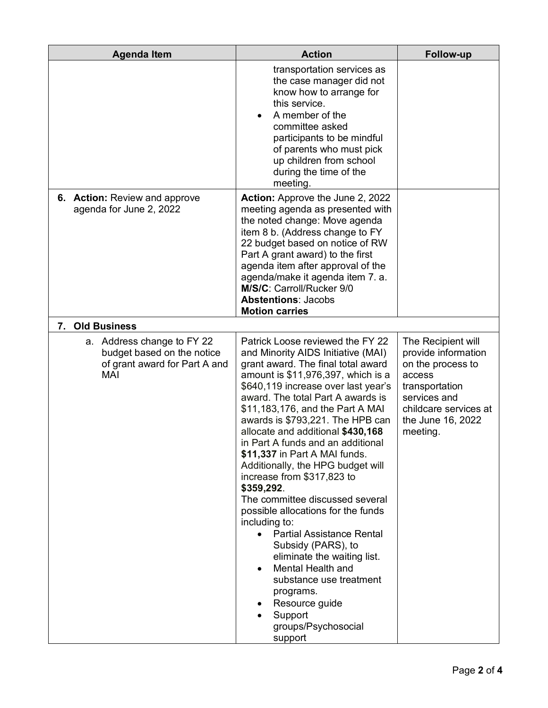| <b>Agenda Item</b>                                                                               | <b>Action</b>                                                                                                                                                                                                                                                                                                                                                                                                                                                                                                                                                                                                                                                                                                                                                                                                     | Follow-up                                                                                                                                                            |
|--------------------------------------------------------------------------------------------------|-------------------------------------------------------------------------------------------------------------------------------------------------------------------------------------------------------------------------------------------------------------------------------------------------------------------------------------------------------------------------------------------------------------------------------------------------------------------------------------------------------------------------------------------------------------------------------------------------------------------------------------------------------------------------------------------------------------------------------------------------------------------------------------------------------------------|----------------------------------------------------------------------------------------------------------------------------------------------------------------------|
|                                                                                                  | transportation services as<br>the case manager did not<br>know how to arrange for<br>this service.<br>A member of the<br>committee asked<br>participants to be mindful<br>of parents who must pick<br>up children from school<br>during the time of the<br>meeting.                                                                                                                                                                                                                                                                                                                                                                                                                                                                                                                                               |                                                                                                                                                                      |
| 6. Action: Review and approve<br>agenda for June 2, 2022                                         | <b>Action:</b> Approve the June 2, 2022<br>meeting agenda as presented with<br>the noted change: Move agenda<br>item 8 b. (Address change to FY<br>22 budget based on notice of RW<br>Part A grant award) to the first<br>agenda item after approval of the<br>agenda/make it agenda item 7. a.<br>M/S/C: Carroll/Rucker 9/0<br><b>Abstentions: Jacobs</b><br><b>Motion carries</b>                                                                                                                                                                                                                                                                                                                                                                                                                               |                                                                                                                                                                      |
| <b>Old Business</b><br>7.                                                                        |                                                                                                                                                                                                                                                                                                                                                                                                                                                                                                                                                                                                                                                                                                                                                                                                                   |                                                                                                                                                                      |
| a. Address change to FY 22<br>budget based on the notice<br>of grant award for Part A and<br>MAI | Patrick Loose reviewed the FY 22<br>and Minority AIDS Initiative (MAI)<br>grant award. The final total award<br>amount is \$11,976,397, which is a<br>\$640,119 increase over last year's<br>award. The total Part A awards is<br>\$11,183,176, and the Part A MAI<br>awards is \$793,221. The HPB can<br>allocate and additional \$430,168<br>in Part A funds and an additional<br>\$11,337 in Part A MAI funds.<br>Additionally, the HPG budget will<br>increase from \$317,823 to<br>\$359,292.<br>The committee discussed several<br>possible allocations for the funds<br>including to:<br><b>Partial Assistance Rental</b><br>Subsidy (PARS), to<br>eliminate the waiting list.<br>Mental Health and<br>substance use treatment<br>programs.<br>Resource guide<br>Support<br>groups/Psychosocial<br>support | The Recipient will<br>provide information<br>on the process to<br>access<br>transportation<br>services and<br>childcare services at<br>the June 16, 2022<br>meeting. |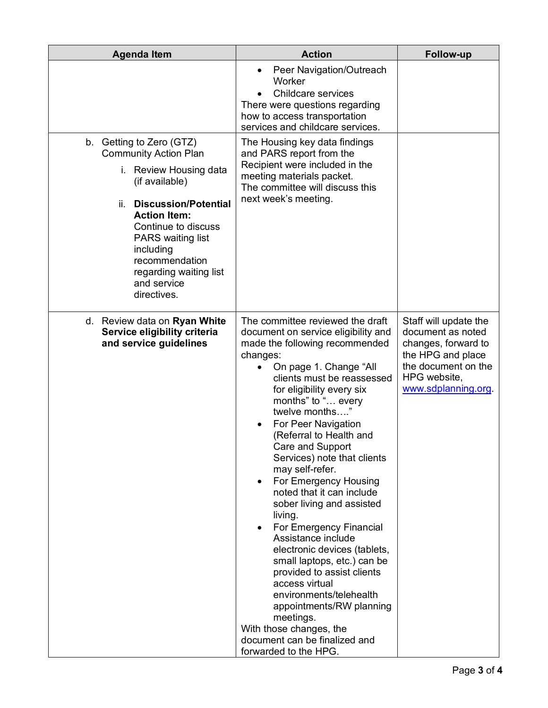| <b>Agenda Item</b>                                                                                                                                                                                                                                                                                   | <b>Action</b>                                                                                                                                                                                                                                                                                                                                                                                                                                                                                                                                                                                                                                                                                                                                                                                                  | <b>Follow-up</b>                                                                                                                                    |
|------------------------------------------------------------------------------------------------------------------------------------------------------------------------------------------------------------------------------------------------------------------------------------------------------|----------------------------------------------------------------------------------------------------------------------------------------------------------------------------------------------------------------------------------------------------------------------------------------------------------------------------------------------------------------------------------------------------------------------------------------------------------------------------------------------------------------------------------------------------------------------------------------------------------------------------------------------------------------------------------------------------------------------------------------------------------------------------------------------------------------|-----------------------------------------------------------------------------------------------------------------------------------------------------|
|                                                                                                                                                                                                                                                                                                      | Peer Navigation/Outreach<br>Worker<br><b>Childcare services</b><br>There were questions regarding<br>how to access transportation<br>services and childcare services.                                                                                                                                                                                                                                                                                                                                                                                                                                                                                                                                                                                                                                          |                                                                                                                                                     |
| b. Getting to Zero (GTZ)<br><b>Community Action Plan</b><br>i. Review Housing data<br>(if available)<br><b>Discussion/Potential</b><br>ii.<br><b>Action Item:</b><br>Continue to discuss<br>PARS waiting list<br>including<br>recommendation<br>regarding waiting list<br>and service<br>directives. | The Housing key data findings<br>and PARS report from the<br>Recipient were included in the<br>meeting materials packet.<br>The committee will discuss this<br>next week's meeting.                                                                                                                                                                                                                                                                                                                                                                                                                                                                                                                                                                                                                            |                                                                                                                                                     |
| d. Review data on Ryan White<br>Service eligibility criteria<br>and service guidelines                                                                                                                                                                                                               | The committee reviewed the draft<br>document on service eligibility and<br>made the following recommended<br>changes:<br>On page 1. Change "All<br>clients must be reassessed<br>for eligibility every six<br>months" to " every<br>twelve months"<br>For Peer Navigation<br>(Referral to Health and<br>Care and Support<br>Services) note that clients<br>may self-refer.<br>For Emergency Housing<br>$\bullet$<br>noted that it can include<br>sober living and assisted<br>living.<br>For Emergency Financial<br>Assistance include<br>electronic devices (tablets,<br>small laptops, etc.) can be<br>provided to assist clients<br>access virtual<br>environments/telehealth<br>appointments/RW planning<br>meetings.<br>With those changes, the<br>document can be finalized and<br>forwarded to the HPG. | Staff will update the<br>document as noted<br>changes, forward to<br>the HPG and place<br>the document on the<br>HPG website,<br>www.sdplanning.org |